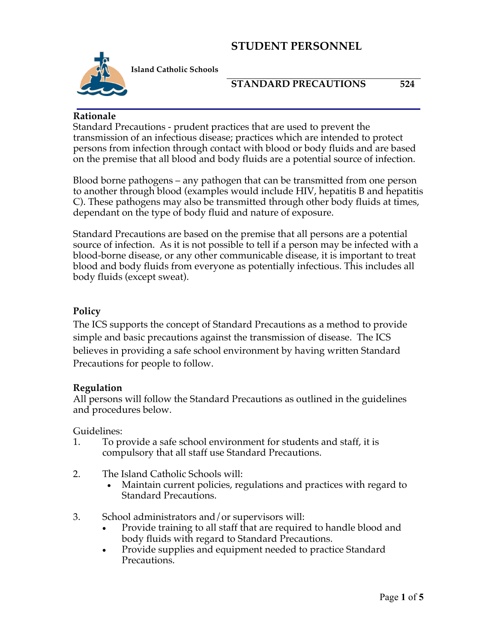

**Island Catholic Schools** 

#### **STANDARD PRECAUTIONS 524**

#### **Rationale**

Standard Precautions - prudent practices that are used to prevent the transmission of an infectious disease; practices which are intended to protect persons from infection through contact with blood or body fluids and are based on the premise that all blood and body fluids are a potential source of infection.

Blood borne pathogens – any pathogen that can be transmitted from one person to another through blood (examples would include HIV, hepatitis B and hepatitis C). These pathogens may also be transmitted through other body fluids at times, dependant on the type of body fluid and nature of exposure.

Standard Precautions are based on the premise that all persons are a potential source of infection. As it is not possible to tell if a person may be infected with a blood-borne disease, or any other communicable disease, it is important to treat blood and body fluids from everyone as potentially infectious. This includes all body fluids (except sweat).

#### **Policy**

The ICS supports the concept of Standard Precautions as a method to provide simple and basic precautions against the transmission of disease. The ICS believes in providing a safe school environment by having written Standard Precautions for people to follow.

#### **Regulation**

All persons will follow the Standard Precautions as outlined in the guidelines and procedures below.

Guidelines:

- 1. To provide a safe school environment for students and staff, it is compulsory that all staff use Standard Precautions.
- 2. The Island Catholic Schools will:
	- Maintain current policies, regulations and practices with regard to Standard Precautions.
- 3. School administrators and/or supervisors will:
	- Provide training to all staff that are required to handle blood and body fluids with regard to Standard Precautions.
	- Provide supplies and equipment needed to practice Standard Precautions.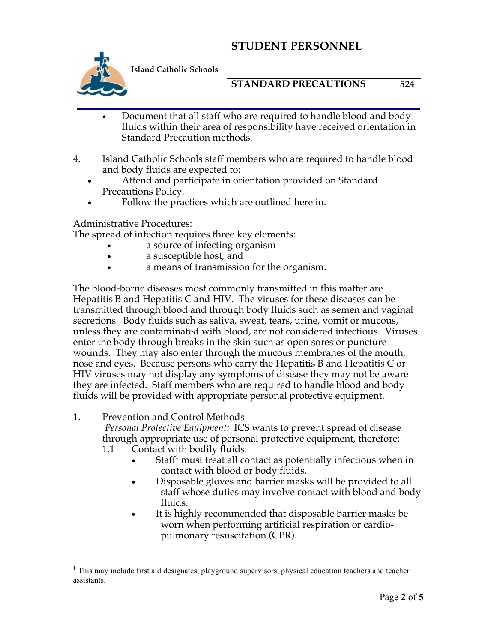

**Island Catholic Schools** 

#### **STANDARD PRECAUTIONS 524**

- Document that all staff who are required to handle blood and body fluids within their area of responsibility have received orientation in Standard Precaution methods.
- 4. Island Catholic Schools staff members who are required to handle blood and body fluids are expected to:
	- Attend and participate in orientation provided on Standard Precautions Policy.
	- Follow the practices which are outlined here in.

Administrative Procedures:

The spread of infection requires three key elements:

- a source of infecting organism
- a susceptible host, and
- a means of transmission for the organism.

The blood-borne diseases most commonly transmitted in this matter are Hepatitis B and Hepatitis C and HIV. The viruses for these diseases can be transmitted through blood and through body fluids such as semen and vaginal secretions. Body fluids such as saliva, sweat, tears, urine, vomit or mucous, unless they are contaminated with blood, are not considered infectious. Viruses enter the body through breaks in the skin such as open sores or puncture wounds. They may also enter through the mucous membranes of the mouth, nose and eyes. Because persons who carry the Hepatitis B and Hepatitis C or HIV viruses may not display any symptoms of disease they may not be aware they are infected. Staff members who are required to handle blood and body fluids will be provided with appropriate personal protective equipment.

#### 1. Prevention and Control Methods

*Personal Protective Equipment:* ICS wants to prevent spread of disease through appropriate use of personal protective equipment, therefore;

- 1.1 Contact with bodily fluids:
	- Staff<sup>1</sup> must treat all contact as potentially infectious when in contact with blood or body fluids.
	- Disposable gloves and barrier masks will be provided to all staff whose duties may involve contact with blood and body fluids.
	- It is highly recommended that disposable barrier masks be worn when performing artificial respiration or cardiopulmonary resuscitation (CPR).

<sup>&</sup>lt;sup>1</sup> This may include first aid designates, playground supervisors, physical education teachers and teacher assistants.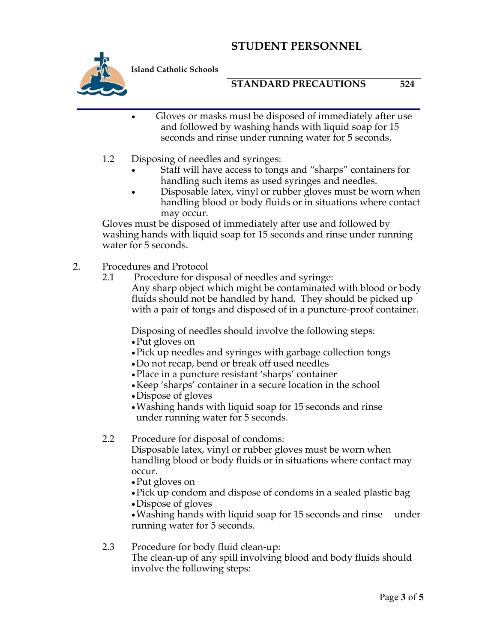

**Island Catholic Schools** 

## **STANDARD PRECAUTIONS 524**

- Gloves or masks must be disposed of immediately after use and followed by washing hands with liquid soap for 15 seconds and rinse under running water for 5 seconds.
- 1.2 Disposing of needles and syringes:
	- Staff will have access to tongs and "sharps" containers for handling such items as used syringes and needles.
	- Disposable latex, vinyl or rubber gloves must be worn when handling blood or body fluids or in situations where contact may occur.

Gloves must be disposed of immediately after use and followed by washing hands with liquid soap for 15 seconds and rinse under running water for 5 seconds.

- 2. Procedures and Protocol<br>2.1 Procedure for dis-
	- Procedure for disposal of needles and syringe:

Any sharp object which might be contaminated with blood or body fluids should not be handled by hand. They should be picked up with a pair of tongs and disposed of in a puncture-proof container.

Disposing of needles should involve the following steps:

- •Put gloves on
- •Pick up needles and syringes with garbage collection tongs
- •Do not recap, bend or break off used needles
- •Place in a puncture resistant 'sharps' container
- •Keep 'sharps' container in a secure location in the school
- •Dispose of gloves
- •Washing hands with liquid soap for 15 seconds and rinse under running water for 5 seconds.

## 2.2 Procedure for disposal of condoms:

Disposable latex, vinyl or rubber gloves must be worn when handling blood or body fluids or in situations where contact may occur.

- •Put gloves on
- •Pick up condom and dispose of condoms in a sealed plastic bag
- •Dispose of gloves

•Washing hands with liquid soap for 15 seconds and rinse under running water for 5 seconds.

#### 2.3 Procedure for body fluid clean-up: The clean-up of any spill involving blood and body fluids should involve the following steps: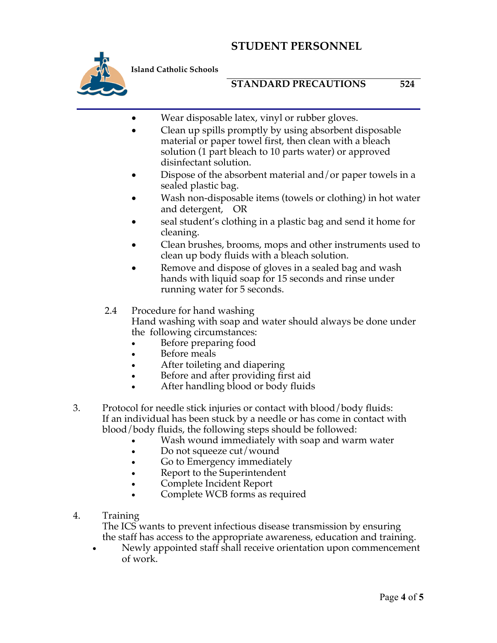

**Island Catholic Schools** 

## **STANDARD PRECAUTIONS 524**

- Wear disposable latex, vinyl or rubber gloves.
- Clean up spills promptly by using absorbent disposable material or paper towel first, then clean with a bleach solution (1 part bleach to 10 parts water) or approved disinfectant solution.
- Dispose of the absorbent material and/or paper towels in a sealed plastic bag.
- Wash non-disposable items (towels or clothing) in hot water and detergent, OR
- seal student's clothing in a plastic bag and send it home for cleaning.
- Clean brushes, brooms, mops and other instruments used to clean up body fluids with a bleach solution.
- Remove and dispose of gloves in a sealed bag and wash hands with liquid soap for 15 seconds and rinse under running water for 5 seconds.

# 2.4 Procedure for hand washing

Hand washing with soap and water should always be done under the following circumstances:

- Before preparing food
- Before meals
- After toileting and diapering
- Before and after providing first aid
- After handling blood or body fluids
- 3. Protocol for needle stick injuries or contact with blood/body fluids: If an individual has been stuck by a needle or has come in contact with blood/body fluids, the following steps should be followed:
	- Wash wound immediately with soap and warm water
	- Do not squeeze cut/wound
	- Go to Emergency immediately
	- Report to the Superintendent
	- Complete Incident Report
	- Complete WCB forms as required
- 4. Training

The ICS wants to prevent infectious disease transmission by ensuring the staff has access to the appropriate awareness, education and training.

• Newly appointed staff shall receive orientation upon commencement of work.